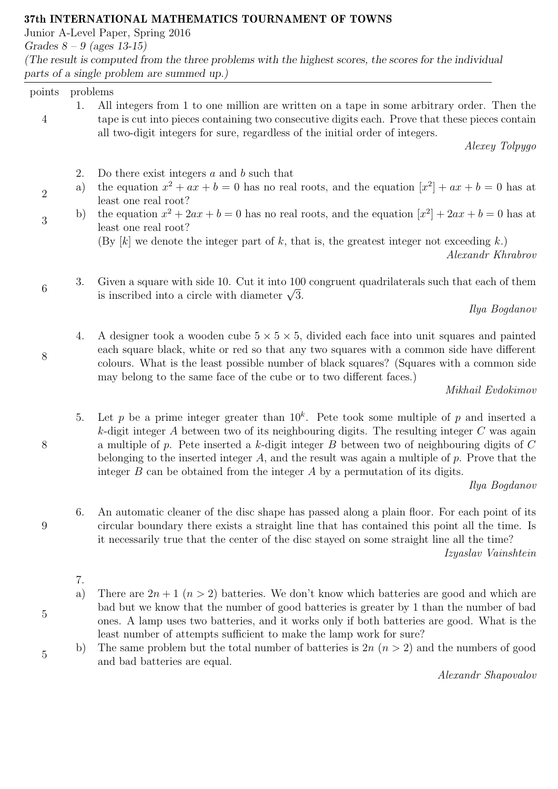## 37th INTERNATIONAL MATHEMATICS TOURNAMENT OF TOWNS

Junior A-Level Paper, Spring 2016

Grades  $8 - 9$  (ages 13-15)

(The result is computed from the three problems with the highest scores, the scores for the individual parts of a single problem are summed up.)

## points problems

2

3

6

8

4 1. All integers from 1 to one million are written on a tape in some arbitrary order. Then the tape is cut into pieces containing two consecutive digits each. Prove that these pieces contain all two-digit integers for sure, regardless of the initial order of integers.

Alexey Tolpygo

- 2. Do there exist integers  $a$  and  $b$  such that
- a) the equation  $x^2 + ax + b = 0$  has no real roots, and the equation  $[x^2] + ax + b = 0$  has at least one real root?
- b) the equation  $x^2 + 2ax + b = 0$  has no real roots, and the equation  $[x^2] + 2ax + b = 0$  has at least one real root?

(By  $[k]$  we denote the integer part of k, that is, the greatest integer not exceeding k.)

Alexandr Khrabrov

3. Given a square with side 10. Cut it into 100 congruent quadrilaterals such that each of them Given a square with side 10. Cut it into 100<br>is inscribed into a circle with diameter  $\sqrt{3}$ .

Ilya Bogdanov

4. A designer took a wooden cube  $5 \times 5 \times 5$ , divided each face into unit squares and painted each square black, white or red so that any two squares with a common side have different colours. What is the least possible number of black squares? (Squares with a common side may belong to the same face of the cube or to two different faces.)

Mikhail Evdokimov

5. Let p be a prime integer greater than  $10<sup>k</sup>$ . Pete took some multiple of p and inserted a k-digit integer  $A$  between two of its neighbouring digits. The resulting integer  $C$  was again a multiple of  $p$ . Pete inserted a  $k$ -digit integer  $B$  between two of neighbouring digits of  $C$ belonging to the inserted integer A, and the result was again a multiple of  $p$ . Prove that the integer  $B$  can be obtained from the integer  $A$  by a permutation of its digits.

Ilya Bogdanov

6. An automatic cleaner of the disc shape has passed along a plain floor. For each point of its circular boundary there exists a straight line that has contained this point all the time. Is it necessarily true that the center of the disc stayed on some straight line all the time?

Izyaslav Vainshtein

- 7.
- a) There are  $2n+1$   $(n > 2)$  batteries. We don't know which batteries are good and which are bad but we know that the number of good batteries is greater by 1 than the number of bad ones. A lamp uses two batteries, and it works only if both batteries are good. What is the least number of attempts sufficient to make the lamp work for sure?
- b) The same problem but the total number of batteries is  $2n (n > 2)$  and the numbers of good and bad batteries are equal.

Alexandr Shapovalov

9

5

5

8